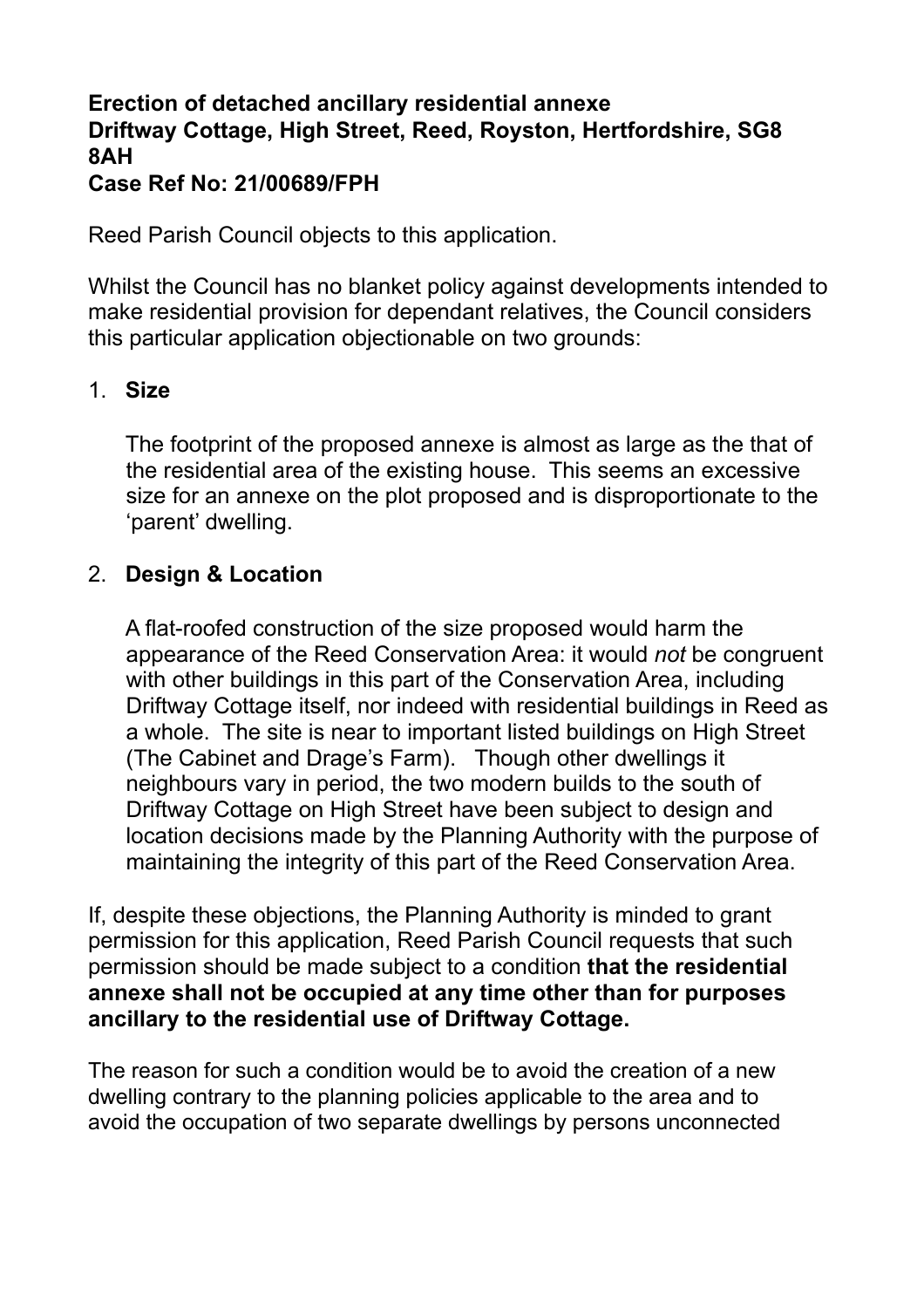## **Erection of detached ancillary residential annexe Driftway Cottage, High Street, Reed, Royston, Hertfordshire, SG8 8AH Case Ref No: 21/00689/FPH**

Reed Parish Council objects to this application.

Whilst the Council has no blanket policy against developments intended to make residential provision for dependant relatives, the Council considers this particular application objectionable on two grounds:

## 1. **Size**

The footprint of the proposed annexe is almost as large as the that of the residential area of the existing house. This seems an excessive size for an annexe on the plot proposed and is disproportionate to the 'parent' dwelling.

## 2. **Design & Location**

A flat-roofed construction of the size proposed would harm the appearance of the Reed Conservation Area: it would *not* be congruent with other buildings in this part of the Conservation Area, including Driftway Cottage itself, nor indeed with residential buildings in Reed as a whole. The site is near to important listed buildings on High Street (The Cabinet and Drage's Farm). Though other dwellings it neighbours vary in period, the two modern builds to the south of Driftway Cottage on High Street have been subject to design and location decisions made by the Planning Authority with the purpose of maintaining the integrity of this part of the Reed Conservation Area.

If, despite these objections, the Planning Authority is minded to grant permission for this application, Reed Parish Council requests that such permission should be made subject to a condition **that the residential annexe shall not be occupied at any time other than for purposes ancillary to the residential use of Driftway Cottage.** 

The reason for such a condition would be to avoid the creation of a new dwelling contrary to the planning policies applicable to the area and to avoid the occupation of two separate dwellings by persons unconnected